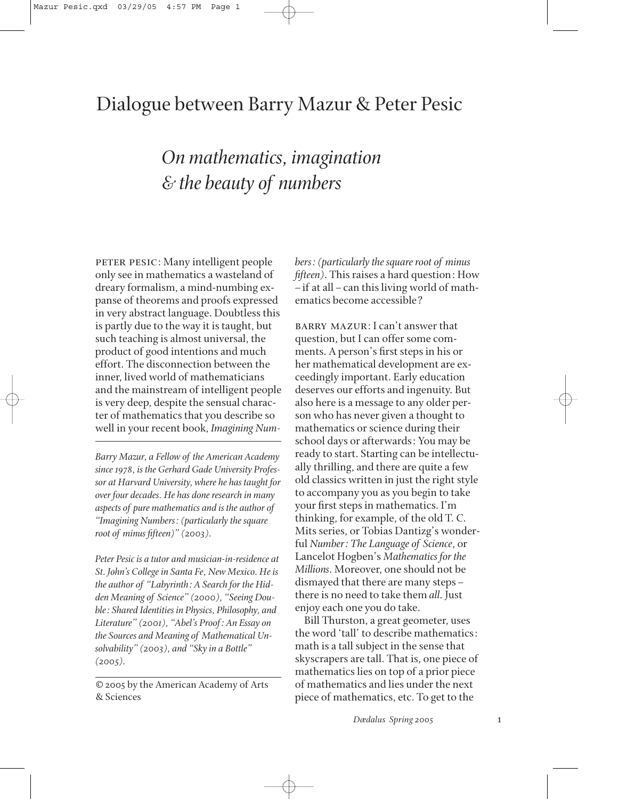## Dialogue between Barry Mazur & Peter Pesic

## *On mathematics, imagination & the beauty of numbers*

**PETER PESIC: Many intelligent people** only see in mathematics a wasteland of dreary formalism, a mind-numbing expanse of theorems and proofs expressed in very abstract language. Doubtless this is partly due to the way it is taught, but such teaching is almost universal, the product of good intentions and much effort. The disconnection between the inner, lived world of mathematicians and the mainstream of intelligent people is very deep, despite the sensual character of mathematics that you describe so well in your recent book, *Imagining Num-*

*Barry Mazur, a Fellow of the American Academy since 1978, is the Gerhard Gade University Professor at Harvard University, where he has taught for over four decades. He has done research in many aspects of pure mathematics and is the author of "Imagining Numbers: (particularly the square root of minus fifteen)" (2003).* 

*Peter Pesic is a tutor and musician-in-residence at St. John's College in Santa Fe, New Mexico. He is the author of "Labyrinth: A Search for the Hidden Meaning of Science" (2000), "Seeing Double: Shared Identities in Physics, Philosophy, and Literature" (2001), "Abel's Proof: An Essay on the Sources and Meaning of Mathematical Unsolvability" (2003), and "Sky in a Bottle" (2005).*

© 2005 by the American Academy of Arts & Sciences

*bers: (particularly the square root of minus fifteen*). This raises a hard question: How –if at all–can this living world of mathematics become accessible?

barry mazur: I can't answer that question, but I can offer some comments. A person's first steps in his or her mathematical development are exceedingly important. Early education deserves our efforts and ingenuity. But also here is a message to any older person who has never given a thought to mathematics or science during their school days or afterwards: You may be ready to start. Starting can be intellectually thrilling, and there are quite a few old classics written in just the right style to accompany you as you begin to take your first steps in mathematics. I'm thinking, for example, of the old T. C. Mits series, or Tobias Dantizg's wonderful *Number: The Language of Science*, or Lancelot Hogben's *Mathematics for the Millions*. Moreover, one should not be dismayed that there are many steps– there is no need to take them *all.* Just enjoy each one you do take.

Bill Thurston, a great geometer, uses the word 'tall' to describe mathematics: math is a tall subject in the sense that skyscrapers are tall. That is, one piece of mathematics lies on top of a prior piece of mathematics and lies under the next piece of mathematics, etc. To get to the

*Dædalus Spring 2005* 1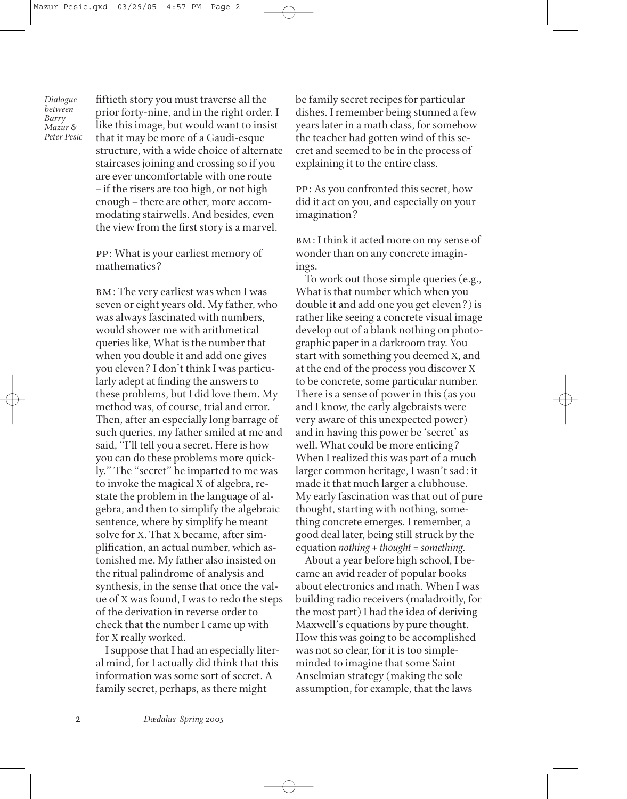*Dialogue between Barry Mazur & Peter Pesic* ½ftieth story you must traverse all the prior forty-nine, and in the right order. I like this image, but would want to insist that it may be more of a Gaudi-esque structure, with a wide choice of alternate staircases joining and crossing so if you are ever uncomfortable with one route –if the risers are too high, or not high enough–there are other, more accommodating stairwells. And besides, even the view from the first story is a marvel.

pp: What is your earliest memory of mathematics?

BM: The very earliest was when I was seven or eight years old. My father, who was always fascinated with numbers, would shower me with arithmetical queries like, What is the number that when you double it and add one gives you eleven? I don't think I was particularly adept at finding the answers to these problems, but I did love them. My method was, of course, trial and error. Then, after an especially long barrage of such queries, my father smiled at me and said, "I'll tell you a secret. Here is how you can do these problems more quickly." The "secret" he imparted to me was to invoke the magical X of algebra, restate the problem in the language of algebra, and then to simplify the algebraic sentence, where by simplify he meant solve for X. That X became, after simpli½cation, an actual number, which astonished me. My father also insisted on the ritual palindrome of analysis and synthesis, in the sense that once the value of X was found, I was to redo the steps of the derivation in reverse order to check that the number I came up with for X really worked.

I suppose that I had an especially literal mind, for I actually did think that this information was some sort of secret. A family secret, perhaps, as there might

be family secret recipes for particular dishes. I remember being stunned a few years later in a math class, for somehow the teacher had gotten wind of this secret and seemed to be in the process of explaining it to the entire class.

pp: As you confronted this secret, how did it act on you, and especially on your imagination?

BM: I think it acted more on my sense of wonder than on any concrete imaginings.

To work out those simple queries (e.g., What is that number which when you double it and add one you get eleven?) is rather like seeing a concrete visual image develop out of a blank nothing on photographic paper in a darkroom tray. You start with something you deemed X, and at the end of the process you discover X to be concrete, some particular number. There is a sense of power in this (as you and I know, the early algebraists were very aware of this unexpected power) and in having this power be 'secret' as well. What could be more enticing? When I realized this was part of a much larger common heritage, I wasn't sad: it made it that much larger a clubhouse. My early fascination was that out of pure thought, starting with nothing, something concrete emerges. I remember, a good deal later, being still struck by the equation *nothing + thought = something.* 

About a year before high school, I became an avid reader of popular books about electronics and math. When I was building radio receivers (maladroitly, for the most part) I had the idea of deriving Maxwell's equations by pure thought. How this was going to be accomplished was not so clear, for it is too simpleminded to imagine that some Saint Anselmian strategy (making the sole assumption, for example, that the laws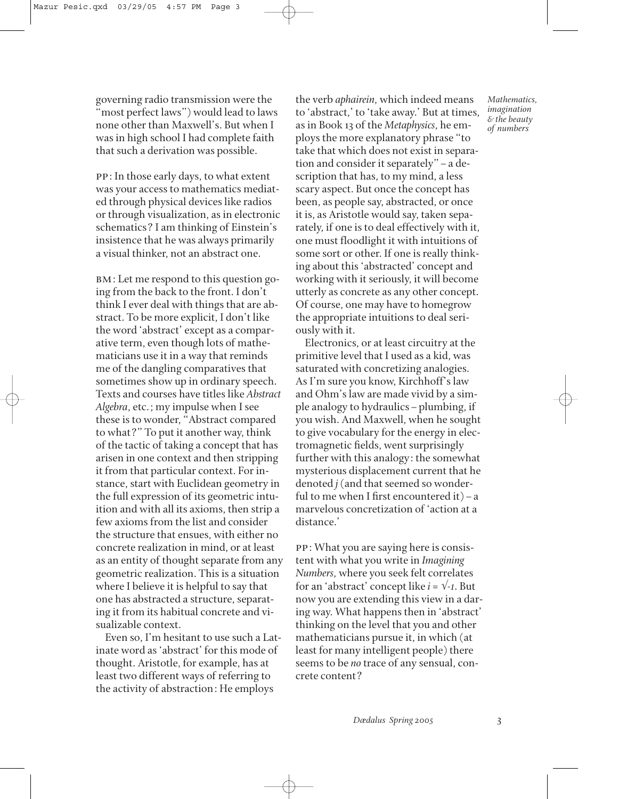governing radio transmission were the "most perfect laws") would lead to laws none other than Maxwell's. But when I was in high school I had complete faith that such a derivation was possible.

pp: In those early days, to what extent was your access to mathematics mediated through physical devices like radios or through visualization, as in electronic schematics? I am thinking of Einstein's insistence that he was always primarily a visual thinker, not an abstract one.

BM: Let me respond to this question going from the back to the front. I don't think I ever deal with things that are abstract. To be more explicit, I don't like the word 'abstract' except as a comparative term, even though lots of mathematicians use it in a way that reminds me of the dangling comparatives that sometimes show up in ordinary speech. Texts and courses have titles like *Abstract Algebra*, etc.; my impulse when I see these is to wonder, "Abstract compared to what?" To put it another way, think of the tactic of taking a concept that has arisen in one context and then stripping it from that particular context. For instance, start with Euclidean geometry in the full expression of its geometric intuition and with all its axioms, then strip a few axioms from the list and consider the structure that ensues, with either no concrete realization in mind, or at least as an entity of thought separate from any geometric realization. This is a situation where I believe it is helpful to say that one has abstracted a structure, separating it from its habitual concrete and visualizable context.

Even so, I'm hesitant to use such a Latinate word as 'abstract' for this mode of thought. Aristotle, for example, has at least two different ways of referring to the activity of abstraction: He employs

the verb *aphairein,* which indeed means to 'abstract,' to 'take away.' But at times, as in Book 13 of the *Metaphysics*, he employs the more explanatory phrase "to take that which does not exist in separation and consider it separately"–a description that has, to my mind, a less scary aspect. But once the concept has been, as people say, abstracted, or once it is, as Aristotle would say, taken separately, if one is to deal effectively with it, one must floodlight it with intuitions of some sort or other. If one is really thinking about this 'abstracted' concept and working with it seriously, it will become utterly as concrete as any other concept. Of course, one may have to homegrow the appropriate intuitions to deal seriously with it.

Electronics, or at least circuitry at the primitive level that I used as a kid, was saturated with concretizing analogies. As I'm sure you know, Kirchhoff's law and Ohm's law are made vivid by a simple analogy to hydraulics–plumbing, if you wish. And Maxwell, when he sought to give vocabulary for the energy in electromagnetic fields, went surprisingly further with this analogy: the somewhat mysterious displacement current that he denoted *j* (and that seemed so wonderful to me when I first encountered it) – a marvelous concretization of 'action at a distance.'

pp: What you are saying here is consistent with what you write in *Imagining Numbers,* where you seek felt correlates for an 'abstract' concept like *i =* √*-1*. But now you are extending this view in a daring way. What happens then in 'abstract' thinking on the level that you and other mathematicians pursue it, in which (at least for many intelligent people) there seems to be *no* trace of any sensual, concrete content?

*Mathematics, imagination & the beauty of numbers*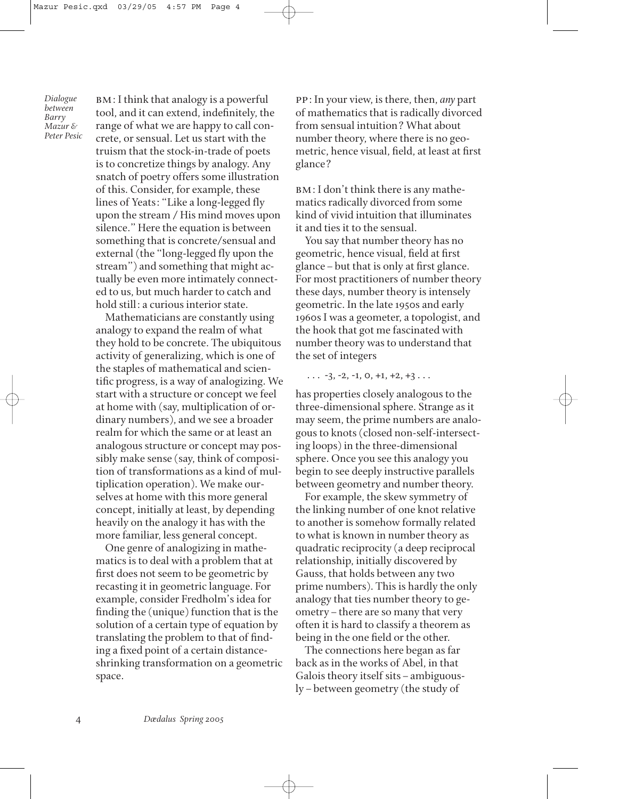*Dialogue between Barry Mazur & Peter Pesic* BM: I think that analogy is a powerful tool, and it can extend, indefinitely, the range of what we are happy to call concrete, or sensual. Let us start with the truism that the stock-in-trade of poets is to concretize things by analogy. Any snatch of poetry offers some illustration of this. Consider, for example, these lines of Yeats: "Like a long-legged fly upon the stream / His mind moves upon silence." Here the equation is between something that is concrete/sensual and external (the "long-legged fly upon the stream") and something that might actually be even more intimately connected to us, but much harder to catch and hold still: a curious interior state.

Mathematicians are constantly using analogy to expand the realm of what they hold to be concrete. The ubiquitous activity of generalizing, which is one of the staples of mathematical and scientific progress, is a way of analogizing. We start with a structure or concept we feel at home with (say, multiplication of ordinary numbers), and we see a broader realm for which the same or at least an analogous structure or concept may possibly make sense (say, think of composition of transformations as a kind of multiplication operation). We make ourselves at home with this more general concept, initially at least, by depending heavily on the analogy it has with the more familiar, less general concept.

One genre of analogizing in mathematics is to deal with a problem that at first does not seem to be geometric by recasting it in geometric language. For example, consider Fredholm's idea for finding the (unique) function that is the solution of a certain type of equation by translating the problem to that of finding a fixed point of a certain distanceshrinking transformation on a geometric space.

pp: In your view, is there, then, *any* part of mathematics that is radically divorced from sensual intuition? What about number theory, where there is no geometric, hence visual, field, at least at first glance?

BM: I don't think there is any mathematics radically divorced from some kind of vivid intuition that illuminates it and ties it to the sensual.

You say that number theory has no geometric, hence visual, field at first  $g$  ance – but that is only at first glance. For most practitioners of number theory these days, number theory is intensely geometric. In the late 1950s and early 1960s I was a geometer, a topologist, and the hook that got me fascinated with number theory was to understand that the set of integers

 $\ldots$  -3, -2, -1, 0, +1, +2, +3...

has properties closely analogous to the three-dimensional sphere. Strange as it may seem, the prime numbers are analogous to knots (closed non-self-intersecting loops) in the three-dimensional sphere. Once you see this analogy you begin to see deeply instructive parallels between geometry and number theory.

For example, the skew symmetry of the linking number of one knot relative to another is somehow formally related to what is known in number theory as quadratic reciprocity (a deep reciprocal relationship, initially discovered by Gauss, that holds between any two prime numbers). This is hardly the only analogy that ties number theory to geometry–there are so many that very often it is hard to classify a theorem as being in the one field or the other.

The connections here began as far back as in the works of Abel, in that Galois theory itself sits–ambiguously–between geometry (the study of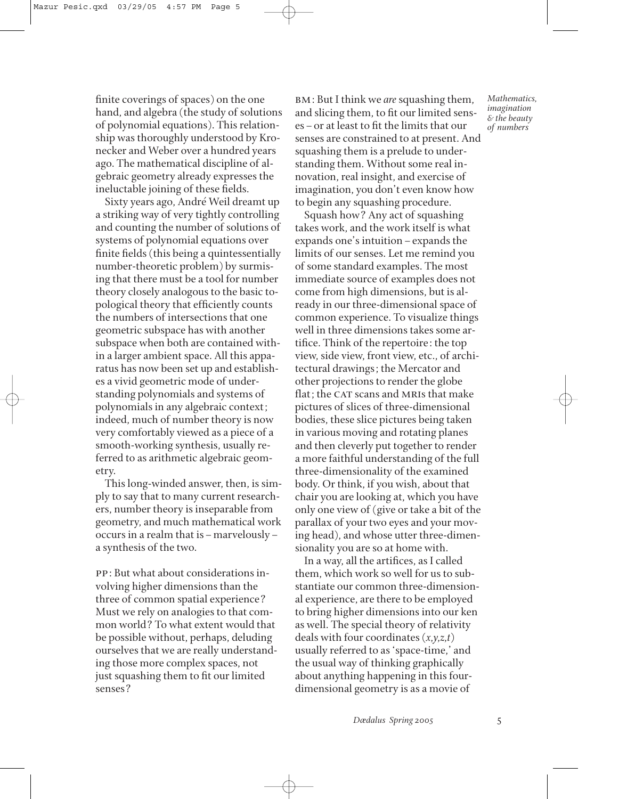finite coverings of spaces) on the one hand, and algebra (the study of solutions of polynomial equations). This relationship was thoroughly understood by Kronecker and Weber over a hundred years ago. The mathematical discipline of algebraic geometry already expresses the ineluctable joining of these fields.

Sixty years ago, André Weil dreamt up a striking way of very tightly controlling and counting the number of solutions of systems of polynomial equations over finite fields (this being a quintessentially number-theoretic problem) by surmising that there must be a tool for number theory closely analogous to the basic topological theory that efficiently counts the numbers of intersections that one geometric subspace has with another subspace when both are contained within a larger ambient space. All this apparatus has now been set up and establishes a vivid geometric mode of understanding polynomials and systems of polynomials in any algebraic context; indeed, much of number theory is now very comfortably viewed as a piece of a smooth-working synthesis, usually referred to as arithmetic algebraic geometry.

This long-winded answer, then, is simply to say that to many current researchers, number theory is inseparable from geometry, and much mathematical work occurs in a realm that is–marvelously– a synthesis of the two.

pp: But what about considerations involving higher dimensions than the three of common spatial experience? Must we rely on analogies to that common world? To what extent would that be possible without, perhaps, deluding ourselves that we are really understanding those more complex spaces, not just squashing them to fit our limited senses?

bm: But I think we *are* squashing them, and slicing them, to fit our limited senses – or at least to fit the limits that our senses are constrained to at present. And squashing them is a prelude to understanding them. Without some real innovation, real insight, and exercise of imagination, you don't even know how to begin any squashing procedure.

Squash how? Any act of squashing takes work, and the work itself is what expands one's intuition–expands the limits of our senses. Let me remind you of some standard examples. The most immediate source of examples does not come from high dimensions, but is already in our three-dimensional space of common experience. To visualize things well in three dimensions takes some artifice. Think of the repertoire: the top view, side view, front view, etc., of architectural drawings; the Mercator and other projections to render the globe flat; the CAT scans and MRIs that make pictures of slices of three-dimensional bodies, these slice pictures being taken in various moving and rotating planes and then cleverly put together to render a more faithful understanding of the full three-dimensionality of the examined body. Or think, if you wish, about that chair you are looking at, which you have only one view of (give or take a bit of the parallax of your two eyes and your moving head), and whose utter three-dimensionality you are so at home with.

In a way, all the artifices, as I called them, which work so well for us to substantiate our common three-dimensional experience, are there to be employed to bring higher dimensions into our ken as well. The special theory of relativity deals with four coordinates (*x,y,z,t*) usually referred to as 'space-time,' and the usual way of thinking graphically about anything happening in this fourdimensional geometry is as a movie of

*Mathematics, imagination & the beauty of numbers*

*Dædalus Spring 2005* 5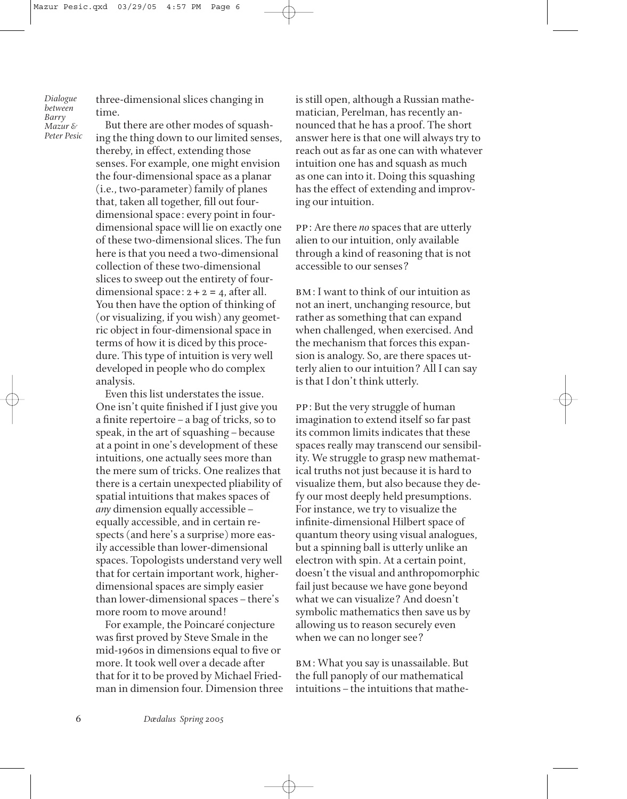*Dialogue between Barry Mazur & Peter Pesic* three-dimensional slices changing in time.

But there are other modes of squashing the thing down to our limited senses, thereby, in effect, extending those senses. For example, one might envision the four-dimensional space as a planar (i.e., two-parameter) family of planes that, taken all together, fill out fourdimensional space: every point in fourdimensional space will lie on exactly one of these two-dimensional slices. The fun here is that you need a two-dimensional collection of these two-dimensional slices to sweep out the entirety of fourdimensional space:  $2 + 2 = 4$ , after all. You then have the option of thinking of (or visualizing, if you wish) any geometric object in four-dimensional space in terms of how it is diced by this procedure. This type of intuition is very well developed in people who do complex analysis.

Even this list understates the issue. One isn't quite finished if I just give you a finite repertoire – a bag of tricks, so to speak, in the art of squashing–because at a point in one's development of these intuitions, one actually sees more than the mere sum of tricks. One realizes that there is a certain unexpected pliability of spatial intuitions that makes spaces of *any* dimension equally accessible– equally accessible, and in certain respects (and here's a surprise) more easily accessible than lower-dimensional spaces. Topologists understand very well that for certain important work, higherdimensional spaces are simply easier than lower-dimensional spaces–there's more room to move around!

For example, the Poincaré conjecture was first proved by Steve Smale in the mid-1960s in dimensions equal to five or more. It took well over a decade after that for it to be proved by Michael Friedman in dimension four. Dimension three is still open, although a Russian mathematician, Perelman, has recently announced that he has a proof. The short answer here is that one will always try to reach out as far as one can with whatever intuition one has and squash as much as one can into it. Doing this squashing has the effect of extending and improving our intuition.

pp: Are there *no* spaces that are utterly alien to our intuition, only available through a kind of reasoning that is not accessible to our senses?

BM: I want to think of our intuition as not an inert, unchanging resource, but rather as something that can expand when challenged, when exercised. And the mechanism that forces this expansion is analogy. So, are there spaces utterly alien to our intuition? All I can say is that I don't think utterly.

pp: But the very struggle of human imagination to extend itself so far past its common limits indicates that these spaces really may transcend our sensibility. We struggle to grasp new mathematical truths not just because it is hard to visualize them, but also because they defy our most deeply held presumptions. For instance, we try to visualize the infinite-dimensional Hilbert space of quantum theory using visual analogues, but a spinning ball is utterly unlike an electron with spin. At a certain point, doesn't the visual and anthropomorphic fail just because we have gone beyond what we can visualize? And doesn't symbolic mathematics then save us by allowing us to reason securely even when we can no longer see?

BM: What you say is unassailable. But the full panoply of our mathematical intuitions–the intuitions that mathe